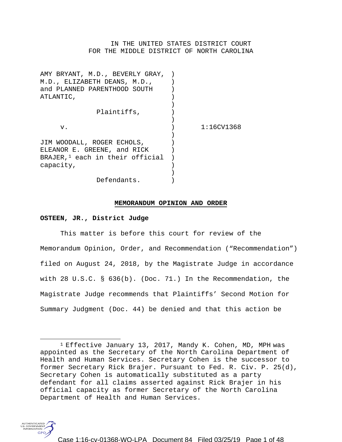# IN THE UNITED STATES DISTRICT COURT FOR THE MIDDLE DISTRICT OF NORTH CAROLINA

| AMY BRYANT, M.D., BEVERLY GRAY,    |                  |
|------------------------------------|------------------|
| M.D., ELIZABETH DEANS, M.D.,       |                  |
| and PLANNED PARENTHOOD SOUTH       |                  |
| ATLANTIC,                          |                  |
|                                    |                  |
| Plaintiffs,                        |                  |
|                                    |                  |
| v.                                 | $1:16$ CV $1368$ |
|                                    |                  |
| JIM WOODALL, ROGER ECHOLS,         |                  |
| ELEANOR E. GREENE, and RICK        |                  |
| BRAJER, $1$ each in their official |                  |
| capacity,                          |                  |
|                                    |                  |
| Defendants.                        |                  |
|                                    |                  |

#### **MEMORANDUM OPINION AND ORDER**

### **OSTEEN, JR., District Judge**

This matter is before this court for review of the Memorandum Opinion, Order, and Recommendation ("Recommendation") filed on August 24, 2018, by the Magistrate Judge in accordance with 28 U.S.C. § 636(b). (Doc. 71.) In the Recommendation, the Magistrate Judge recommends that Plaintiffs' Second Motion for Summary Judgment (Doc. 44) be denied and that this action be

<span id="page-0-0"></span><sup>&</sup>lt;sup>1</sup> Effective January 13, 2017, Mandy K. Cohen, MD, MPH was appointed as the Secretary of the North Carolina Department of Health and Human Services. Secretary Cohen is the successor to former Secretary Rick Brajer. Pursuant to Fed. R. Civ. P. 25(d), Secretary Cohen is automatically substituted as a party defendant for all claims asserted against Rick Brajer in his official capacity as former Secretary of the North Carolina Department of Health and Human Services.



 $\overline{a}$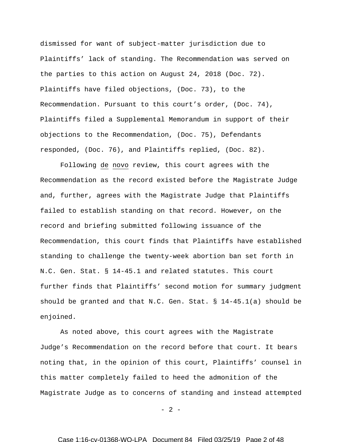dismissed for want of subject-matter jurisdiction due to Plaintiffs' lack of standing. The Recommendation was served on the parties to this action on August 24, 2018 (Doc. 72). Plaintiffs have filed objections, (Doc. 73), to the Recommendation. Pursuant to this court's order, (Doc. 74), Plaintiffs filed a Supplemental Memorandum in support of their objections to the Recommendation, (Doc. 75), Defendants responded, (Doc. 76), and Plaintiffs replied, (Doc. 82).

Following de novo review, this court agrees with the Recommendation as the record existed before the Magistrate Judge and, further, agrees with the Magistrate Judge that Plaintiffs failed to establish standing on that record. However, on the record and briefing submitted following issuance of the Recommendation, this court finds that Plaintiffs have established standing to challenge the twenty-week abortion ban set forth in N.C. Gen. Stat. § 14-45.1 and related statutes. This court further finds that Plaintiffs' second motion for summary judgment should be granted and that N.C. Gen. Stat.  $\S$  14-45.1(a) should be enjoined.

As noted above, this court agrees with the Magistrate Judge's Recommendation on the record before that court. It bears noting that, in the opinion of this court, Plaintiffs' counsel in this matter completely failed to heed the admonition of the Magistrate Judge as to concerns of standing and instead attempted

 $- 2 -$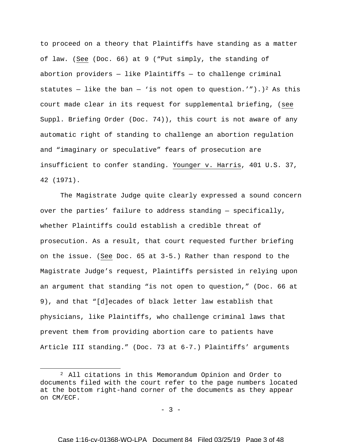to proceed on a theory that Plaintiffs have standing as a matter of law. (See (Doc. 66) at 9 ("Put simply, the standing of abortion providers  $-$  like Plaintiffs  $-$  to challenge criminal statutes – like the ban – 'is not open to question.'").)<sup>[2](#page-2-0)</sup> As this court made clear in its request for supplemental briefing, (see Suppl. Briefing Order (Doc. 74)), this court is not aware of any automatic right of standing to challenge an abortion regulation and "imaginary or speculative" fears of prosecution are insufficient to confer standing. Younger v. Harris, 401 U.S. 37, 42 (1971).

The Magistrate Judge quite clearly expressed a sound concern over the parties' failure to address standing — specifically, whether Plaintiffs could establish a credible threat of prosecution. As a result, that court requested further briefing on the issue. (See Doc. 65 at 3-5.) Rather than respond to the Magistrate Judge's request, Plaintiffs persisted in relying upon an argument that standing "is not open to question," (Doc. 66 at 9), and that "[d]ecades of black letter law establish that physicians, like Plaintiffs, who challenge criminal laws that prevent them from providing abortion care to patients have Article III standing." (Doc. 73 at 6-7.) Plaintiffs' arguments

 $\overline{a}$ 

 $- 3 -$ 

<span id="page-2-0"></span><sup>2</sup> All citations in this Memorandum Opinion and Order to documents filed with the court refer to the page numbers located at the bottom right-hand corner of the documents as they appear on CM/ECF.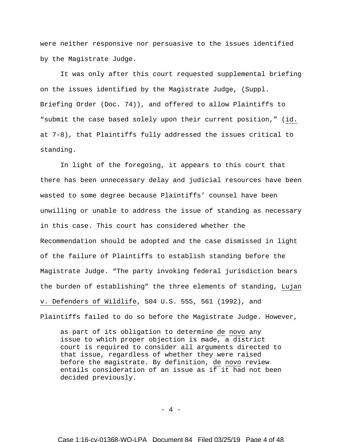were neither responsive nor persuasive to the issues identified by the Magistrate Judge.

It was only after this court requested supplemental briefing on the issues identified by the Magistrate Judge, (Suppl. Briefing Order (Doc. 74)), and offered to allow Plaintiffs to "submit the case based solely upon their current position," (id. at 7-8), that Plaintiffs fully addressed the issues critical to standing.

In light of the foregoing, it appears to this court that there has been unnecessary delay and judicial resources have been wasted to some degree because Plaintiffs' counsel have been unwilling or unable to address the issue of standing as necessary in this case. This court has considered whether the Recommendation should be adopted and the case dismissed in light of the failure of Plaintiffs to establish standing before the Magistrate Judge. "The party invoking federal jurisdiction bears the burden of establishing" the three elements of standing, Lujan v. Defenders of Wildlife, 504 U.S. 555, 561 (1992), and

Plaintiffs failed to do so before the Magistrate Judge. However,

as part of its obligation to determine de novo any issue to which proper objection is made, a district court is required to consider all arguments directed to that issue, regardless of whether they were raised before the magistrate. By definition, de novo review entails consideration of an issue as if it had not been decided previously.

 $- 4 -$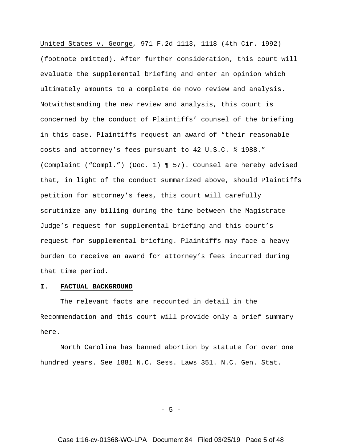United States v. George, 971 F.2d 1113, 1118 (4th Cir. 1992) (footnote omitted). After further consideration, this court will evaluate the supplemental briefing and enter an opinion which ultimately amounts to a complete de novo review and analysis. Notwithstanding the new review and analysis, this court is concerned by the conduct of Plaintiffs' counsel of the briefing in this case. Plaintiffs request an award of "their reasonable costs and attorney's fees pursuant to 42 U.S.C. § 1988." (Complaint ("Compl.") (Doc. 1) ¶ 57). Counsel are hereby advised that, in light of the conduct summarized above, should Plaintiffs petition for attorney's fees, this court will carefully scrutinize any billing during the time between the Magistrate Judge's request for supplemental briefing and this court's request for supplemental briefing. Plaintiffs may face a heavy burden to receive an award for attorney's fees incurred during that time period.

# **I. FACTUAL BACKGROUND**

The relevant facts are recounted in detail in the Recommendation and this court will provide only a brief summary here.

North Carolina has banned abortion by statute for over one hundred years. See 1881 N.C. Sess. Laws 351. N.C. Gen. Stat.

 $-5 -$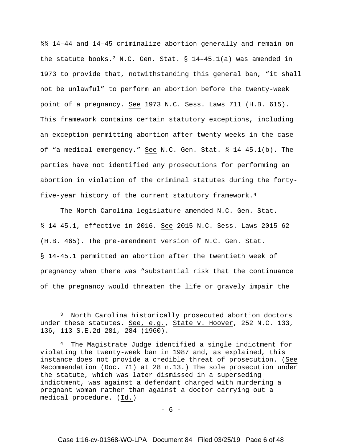§§ 14–44 and 14–45 criminalize abortion generally and remain on the statute books.<sup>[3](#page-5-0)</sup> N.C. Gen. Stat. §  $14-45.1(a)$  was amended in 1973 to provide that, notwithstanding this general ban, "it shall not be unlawful" to perform an abortion before the twenty-week point of a pregnancy. See 1973 N.C. Sess. Laws 711 (H.B. 615). This framework contains certain statutory exceptions, including an exception permitting abortion after twenty weeks in the case of "a medical emergency." See N.C. Gen. Stat. § 14-45.1(b). The parties have not identified any prosecutions for performing an abortion in violation of the criminal statutes during the fortyfive-year history of the current statutory framework.[4](#page-5-1)

The North Carolina legislature amended N.C. Gen. Stat. § 14-45.1, effective in 2016. See 2015 N.C. Sess. Laws 2015-62 (H.B. 465). The pre-amendment version of N.C. Gen. Stat. § 14-45.1 permitted an abortion after the twentieth week of pregnancy when there was "substantial risk that the continuance of the pregnancy would threaten the life or gravely impair the

 $\overline{a}$ 

- 6 -

<span id="page-5-0"></span><sup>3</sup> North Carolina historically prosecuted abortion doctors under these statutes. See, e.g., State v. Hoover, 252 N.C. 133, 136, 113 S.E.2d 281, 284 (1960).

<span id="page-5-1"></span><sup>4</sup> The Magistrate Judge identified a single indictment for violating the twenty-week ban in 1987 and, as explained, this instance does not provide a credible threat of prosecution. (See Recommendation (Doc. 71) at 28 n.13.) The sole prosecution under the statute, which was later dismissed in a superseding indictment, was against a defendant charged with murdering a pregnant woman rather than against a doctor carrying out a medical procedure. (Id.)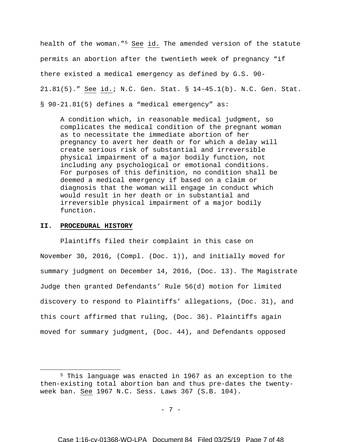health of the woman."[5](#page-6-0) See id. The amended version of the statute permits an abortion after the twentieth week of pregnancy "if there existed a medical emergency as defined by G.S. 90- 21.81(5)." See id.; N.C. Gen. Stat. § 14-45.1(b). N.C. Gen. Stat. § 90-21.81(5) defines a "medical emergency" as:

A condition which, in reasonable medical judgment, so complicates the medical condition of the pregnant woman as to necessitate the immediate abortion of her pregnancy to avert her death or for which a delay will create serious risk of substantial and irreversible physical impairment of a major bodily function, not including any psychological or emotional conditions. For purposes of this definition, no condition shall be deemed a medical emergency if based on a claim or diagnosis that the woman will engage in conduct which would result in her death or in substantial and irreversible physical impairment of a major bodily function.

#### **II. PROCEDURAL HISTORY**

 $\overline{a}$ 

Plaintiffs filed their complaint in this case on November 30, 2016, (Compl. (Doc. 1)), and initially moved for summary judgment on December 14, 2016, (Doc. 13). The Magistrate Judge then granted Defendants' Rule 56(d) motion for limited discovery to respond to Plaintiffs' allegations, (Doc. 31), and this court affirmed that ruling, (Doc. 36). Plaintiffs again moved for summary judgment, (Doc. 44), and Defendants opposed

- 7 -

<span id="page-6-0"></span><sup>5</sup> This language was enacted in 1967 as an exception to the then-existing total abortion ban and thus pre-dates the twentyweek ban. See 1967 N.C. Sess. Laws 367 (S.B. 104).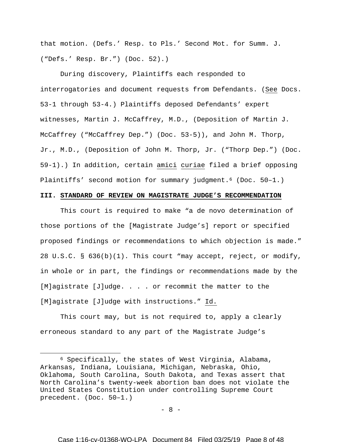that motion. (Defs.' Resp. to Pls.' Second Mot. for Summ. J. ("Defs.' Resp. Br.") (Doc. 52).)

During discovery, Plaintiffs each responded to interrogatories and document requests from Defendants. (See Docs. 53-1 through 53-4.) Plaintiffs deposed Defendants' expert witnesses, Martin J. McCaffrey, M.D., (Deposition of Martin J. McCaffrey ("McCaffrey Dep.") (Doc. 53-5)), and John M. Thorp, Jr., M.D., (Deposition of John M. Thorp, Jr. ("Thorp Dep.") (Doc. 59-1).) In addition, certain amici curiae filed a brief opposing Plaintiffs' second motion for summary judgment.<sup>[6](#page-7-0)</sup> (Doc. 50-1.)

### **III. STANDARD OF REVIEW ON MAGISTRATE JUDGE'S RECOMMENDATION**

This court is required to make "a de novo determination of those portions of the [Magistrate Judge's] report or specified proposed findings or recommendations to which objection is made." 28 U.S.C. § 636(b)(1). This court "may accept, reject, or modify, in whole or in part, the findings or recommendations made by the [M]agistrate [J]udge. . . . or recommit the matter to the [M]agistrate [J]udge with instructions." Id.

This court may, but is not required to, apply a clearly erroneous standard to any part of the Magistrate Judge's

 $\overline{a}$ 

- 8 -

<span id="page-7-0"></span><sup>6</sup> Specifically, the states of West Virginia, Alabama, Arkansas, Indiana, Louisiana, Michigan, Nebraska, Ohio, Oklahoma, South Carolina, South Dakota, and Texas assert that North Carolina's twenty-week abortion ban does not violate the United States Constitution under controlling Supreme Court precedent. (Doc. 50–1.)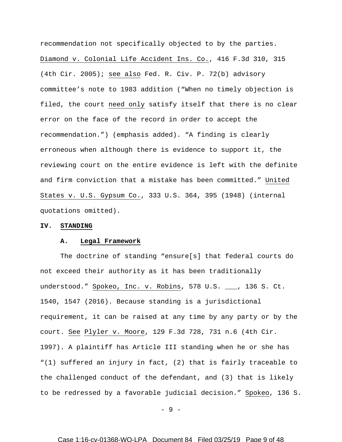recommendation not specifically objected to by the parties. Diamond v. Colonial Life Accident Ins. Co., 416 F.3d 310, 315 (4th Cir. 2005); see also Fed. R. Civ. P. 72(b) advisory committee's note to 1983 addition ("When no timely objection is filed, the court need only satisfy itself that there is no clear error on the face of the record in order to accept the recommendation.") (emphasis added). "A finding is clearly erroneous when although there is evidence to support it, the reviewing court on the entire evidence is left with the definite and firm conviction that a mistake has been committed." United States v. U.S. Gypsum Co., 333 U.S. 364, 395 (1948) (internal quotations omitted).

#### **IV. STANDING**

#### **A. Legal Framework**

The doctrine of standing "ensure[s] that federal courts do not exceed their authority as it has been traditionally understood." Spokeo, Inc. v. Robins, 578 U.S. \_\_\_, 136 S. Ct. 1540, 1547 (2016). Because standing is a jurisdictional requirement, it can be raised at any time by any party or by the court. See Plyler v. Moore, 129 F.3d 728, 731 n.6 (4th Cir. 1997). A plaintiff has Article III standing when he or she has "(1) suffered an injury in fact, (2) that is fairly traceable to the challenged conduct of the defendant, and (3) that is likely to be redressed by a favorable judicial decision." Spokeo, 136 S.

 $-9 -$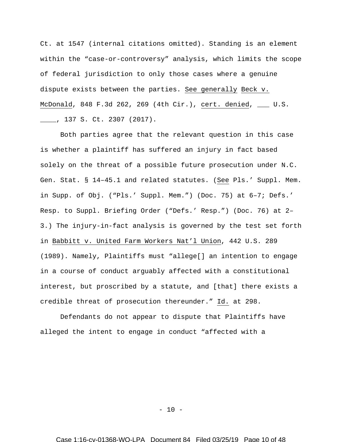Ct. at 1547 (internal citations omitted). Standing is an element within the "case-or-controversy" analysis, which limits the scope of federal jurisdiction to only those cases where a genuine dispute exists between the parties. See generally Beck v. McDonald, 848 F.3d 262, 269 (4th Cir.), cert. denied, \_\_\_ U.S. \_\_\_\_, 137 S. Ct. 2307 (2017).

Both parties agree that the relevant question in this case is whether a plaintiff has suffered an injury in fact based solely on the threat of a possible future prosecution under N.C. Gen. Stat. § 14–45.1 and related statutes. (See Pls.' Suppl. Mem. in Supp. of Obj. ("Pls.' Suppl. Mem.") (Doc. 75) at 6–7; Defs.' Resp. to Suppl. Briefing Order ("Defs.' Resp.") (Doc. 76) at 2– 3.) The injury-in-fact analysis is governed by the test set forth in Babbitt v. United Farm Workers Nat'l Union, 442 U.S. 289 (1989). Namely, Plaintiffs must "allege[] an intention to engage in a course of conduct arguably affected with a constitutional interest, but proscribed by a statute, and [that] there exists a credible threat of prosecution thereunder." Id. at 298.

Defendants do not appear to dispute that Plaintiffs have alleged the intent to engage in conduct "affected with a

 $- 10 -$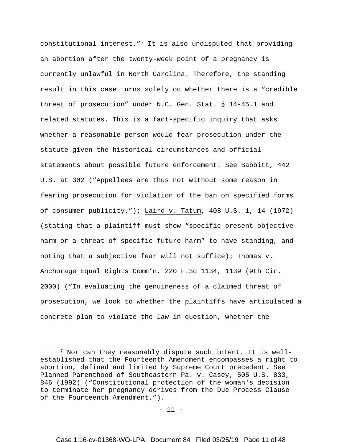constitutional interest.["7](#page-10-0) It is also undisputed that providing an abortion after the twenty-week point of a pregnancy is currently unlawful in North Carolina. Therefore, the standing result in this case turns solely on whether there is a "credible threat of prosecution" under N.C. Gen. Stat. § 14-45.1 and related statutes. This is a fact-specific inquiry that asks whether a reasonable person would fear prosecution under the statute given the historical circumstances and official statements about possible future enforcement. See Babbitt, 442 U.S. at 302 ("Appellees are thus not without some reason in fearing prosecution for violation of the ban on specified forms of consumer publicity."); Laird v. Tatum, 408 U.S. 1, 14 (1972) (stating that a plaintiff must show "specific present objective harm or a threat of specific future harm" to have standing, and noting that a subjective fear will not suffice); Thomas v. Anchorage Equal Rights Comm'n, 220 F.3d 1134, 1139 (9th Cir. 2000) ("In evaluating the genuineness of a claimed threat of prosecution, we look to whether the plaintiffs have articulated a concrete plan to violate the law in question, whether the

 $\overline{a}$ 

 $- 11 -$ 

<span id="page-10-0"></span><sup>&</sup>lt;sup>7</sup> Nor can they reasonably dispute such intent. It is wellestablished that the Fourteenth Amendment encompasses a right to abortion, defined and limited by Supreme Court precedent. See Planned Parenthood of Southeastern Pa. v. Casey, 505 U.S. 833, 846 (1992) ("Constitutional protection of the woman's decision to terminate her pregnancy derives from the Due Process Clause of the Fourteenth Amendment.").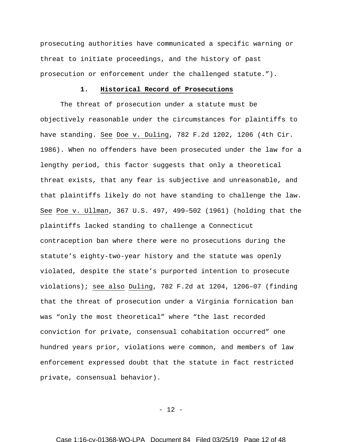prosecuting authorities have communicated a specific warning or threat to initiate proceedings, and the history of past prosecution or enforcement under the challenged statute.").

# **1. Historical Record of Prosecutions**

The threat of prosecution under a statute must be objectively reasonable under the circumstances for plaintiffs to have standing. See Doe v. Duling, 782 F.2d 1202, 1206 (4th Cir. 1986). When no offenders have been prosecuted under the law for a lengthy period, this factor suggests that only a theoretical threat exists, that any fear is subjective and unreasonable, and that plaintiffs likely do not have standing to challenge the law. See Poe v. Ullman, 367 U.S. 497, 499–502 (1961) (holding that the plaintiffs lacked standing to challenge a Connecticut contraception ban where there were no prosecutions during the statute's eighty-two-year history and the statute was openly violated, despite the state's purported intention to prosecute violations); see also Duling, 782 F.2d at 1204, 1206–07 (finding that the threat of prosecution under a Virginia fornication ban was "only the most theoretical" where "the last recorded conviction for private, consensual cohabitation occurred" one hundred years prior, violations were common, and members of law enforcement expressed doubt that the statute in fact restricted private, consensual behavior).

 $- 12 -$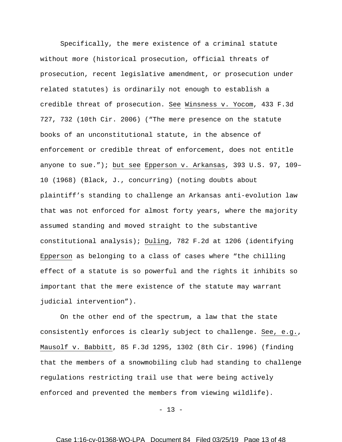Specifically, the mere existence of a criminal statute without more (historical prosecution, official threats of prosecution, recent legislative amendment, or prosecution under related statutes) is ordinarily not enough to establish a credible threat of prosecution. See Winsness v. Yocom, 433 F.3d 727, 732 (10th Cir. 2006) ("The mere presence on the statute books of an unconstitutional statute, in the absence of enforcement or credible threat of enforcement, does not entitle anyone to sue."); but see Epperson v. Arkansas, 393 U.S. 97, 109– 10 (1968) (Black, J., concurring) (noting doubts about plaintiff's standing to challenge an Arkansas anti-evolution law that was not enforced for almost forty years, where the majority assumed standing and moved straight to the substantive constitutional analysis); Duling, 782 F.2d at 1206 (identifying Epperson as belonging to a class of cases where "the chilling effect of a statute is so powerful and the rights it inhibits so important that the mere existence of the statute may warrant judicial intervention").

On the other end of the spectrum, a law that the state consistently enforces is clearly subject to challenge. See, e.g., Mausolf v. Babbitt, 85 F.3d 1295, 1302 (8th Cir. 1996) (finding that the members of a snowmobiling club had standing to challenge regulations restricting trail use that were being actively enforced and prevented the members from viewing wildlife).

 $- 13 -$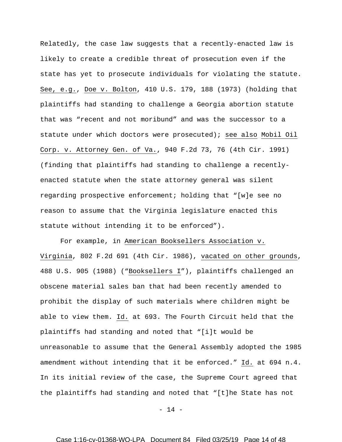Relatedly, the case law suggests that a recently-enacted law is likely to create a credible threat of prosecution even if the state has yet to prosecute individuals for violating the statute. See, e.g., Doe v. Bolton, 410 U.S. 179, 188 (1973) (holding that plaintiffs had standing to challenge a Georgia abortion statute that was "recent and not moribund" and was the successor to a statute under which doctors were prosecuted); see also Mobil Oil Corp. v. Attorney Gen. of Va., 940 F.2d 73, 76 (4th Cir. 1991) (finding that plaintiffs had standing to challenge a recentlyenacted statute when the state attorney general was silent regarding prospective enforcement; holding that "[w]e see no reason to assume that the Virginia legislature enacted this statute without intending it to be enforced").

For example, in American Booksellers Association v. Virginia, 802 F.2d 691 (4th Cir. 1986), vacated on other grounds, 488 U.S. 905 (1988) ("Booksellers I"), plaintiffs challenged an obscene material sales ban that had been recently amended to prohibit the display of such materials where children might be able to view them. Id. at 693. The Fourth Circuit held that the plaintiffs had standing and noted that "[i]t would be unreasonable to assume that the General Assembly adopted the 1985 amendment without intending that it be enforced." Id. at 694 n.4. In its initial review of the case, the Supreme Court agreed that the plaintiffs had standing and noted that "[t]he State has not

 $- 14 -$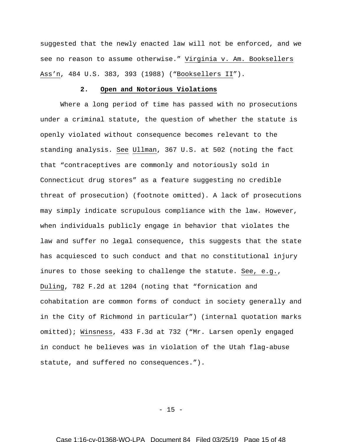suggested that the newly enacted law will not be enforced, and we see no reason to assume otherwise." Virginia v. Am. Booksellers Ass'n, 484 U.S. 383, 393 (1988) ("Booksellers II").

# **2. Open and Notorious Violations**

Where a long period of time has passed with no prosecutions under a criminal statute, the question of whether the statute is openly violated without consequence becomes relevant to the standing analysis. See Ullman, 367 U.S. at 502 (noting the fact that "contraceptives are commonly and notoriously sold in Connecticut drug stores" as a feature suggesting no credible threat of prosecution) (footnote omitted). A lack of prosecutions may simply indicate scrupulous compliance with the law. However, when individuals publicly engage in behavior that violates the law and suffer no legal consequence, this suggests that the state has acquiesced to such conduct and that no constitutional injury inures to those seeking to challenge the statute. See, e.g., Duling, 782 F.2d at 1204 (noting that "fornication and cohabitation are common forms of conduct in society generally and in the City of Richmond in particular") (internal quotation marks omitted); Winsness, 433 F.3d at 732 ("Mr. Larsen openly engaged in conduct he believes was in violation of the Utah flag-abuse statute, and suffered no consequences.").

 $- 15 -$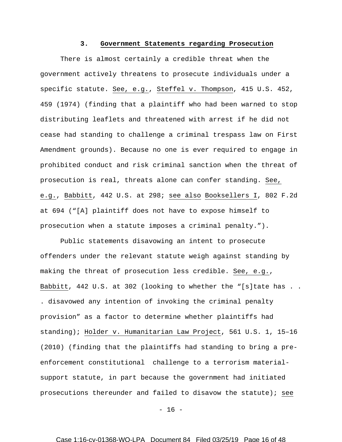### **3. Government Statements regarding Prosecution**

There is almost certainly a credible threat when the government actively threatens to prosecute individuals under a specific statute. See, e.g., Steffel v. Thompson, 415 U.S. 452, 459 (1974) (finding that a plaintiff who had been warned to stop distributing leaflets and threatened with arrest if he did not cease had standing to challenge a criminal trespass law on First Amendment grounds). Because no one is ever required to engage in prohibited conduct and risk criminal sanction when the threat of prosecution is real, threats alone can confer standing. See, e.g., Babbitt, 442 U.S. at 298; see also Booksellers I, 802 F.2d at 694 ("[A] plaintiff does not have to expose himself to prosecution when a statute imposes a criminal penalty.").

Public statements disavowing an intent to prosecute offenders under the relevant statute weigh against standing by making the threat of prosecution less credible. See, e.g., Babbitt, 442 U.S. at 302 (looking to whether the "[s]tate has . . . disavowed any intention of invoking the criminal penalty provision" as a factor to determine whether plaintiffs had standing); Holder v. Humanitarian Law Project, 561 U.S. 1, 15–16 (2010) (finding that the plaintiffs had standing to bring a preenforcement constitutional challenge to a terrorism materialsupport statute, in part because the government had initiated prosecutions thereunder and failed to disavow the statute); see

 $- 16 -$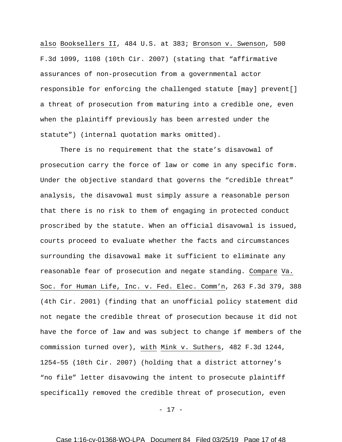also Booksellers II, 484 U.S. at 383; Bronson v. Swenson, 500 F.3d 1099, 1108 (10th Cir. 2007) (stating that "affirmative assurances of non-prosecution from a governmental actor responsible for enforcing the challenged statute [may] prevent[] a threat of prosecution from maturing into a credible one, even when the plaintiff previously has been arrested under the statute") (internal quotation marks omitted).

There is no requirement that the state's disavowal of prosecution carry the force of law or come in any specific form. Under the objective standard that governs the "credible threat" analysis, the disavowal must simply assure a reasonable person that there is no risk to them of engaging in protected conduct proscribed by the statute. When an official disavowal is issued, courts proceed to evaluate whether the facts and circumstances surrounding the disavowal make it sufficient to eliminate any reasonable fear of prosecution and negate standing. Compare Va. Soc. for Human Life, Inc. v. Fed. Elec. Comm'n, 263 F.3d 379, 388 (4th Cir. 2001) (finding that an unofficial policy statement did not negate the credible threat of prosecution because it did not have the force of law and was subject to change if members of the commission turned over), with Mink v. Suthers, 482 F.3d 1244, 1254–55 (10th Cir. 2007) (holding that a district attorney's "no file" letter disavowing the intent to prosecute plaintiff specifically removed the credible threat of prosecution, even

- 17 -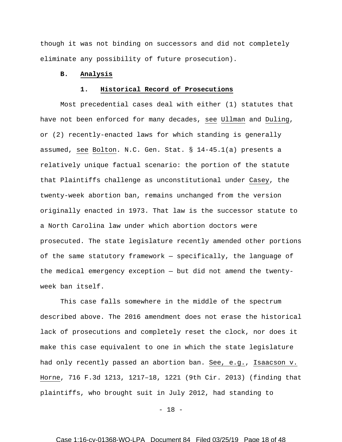though it was not binding on successors and did not completely eliminate any possibility of future prosecution).

# **B. Analysis**

### **1. Historical Record of Prosecutions**

Most precedential cases deal with either (1) statutes that have not been enforced for many decades, see Ullman and Duling, or (2) recently-enacted laws for which standing is generally assumed, see Bolton. N.C. Gen. Stat. § 14-45.1(a) presents a relatively unique factual scenario: the portion of the statute that Plaintiffs challenge as unconstitutional under Casey, the twenty-week abortion ban, remains unchanged from the version originally enacted in 1973. That law is the successor statute to a North Carolina law under which abortion doctors were prosecuted. The state legislature recently amended other portions of the same statutory framework — specifically, the language of the medical emergency exception — but did not amend the twentyweek ban itself.

This case falls somewhere in the middle of the spectrum described above. The 2016 amendment does not erase the historical lack of prosecutions and completely reset the clock, nor does it make this case equivalent to one in which the state legislature had only recently passed an abortion ban. See, e.g., Isaacson v. Horne, 716 F.3d 1213, 1217–18, 1221 (9th Cir. 2013) (finding that plaintiffs, who brought suit in July 2012, had standing to

 $- 18 -$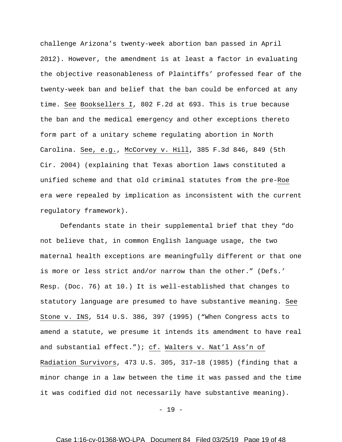challenge Arizona's twenty-week abortion ban passed in April 2012). However, the amendment is at least a factor in evaluating the objective reasonableness of Plaintiffs' professed fear of the twenty-week ban and belief that the ban could be enforced at any time. See Booksellers I, 802 F.2d at 693. This is true because the ban and the medical emergency and other exceptions thereto form part of a unitary scheme regulating abortion in North Carolina. See, e.g., McCorvey v. Hill, 385 F.3d 846, 849 (5th Cir. 2004) (explaining that Texas abortion laws constituted a unified scheme and that old criminal statutes from the pre-Roe era were repealed by implication as inconsistent with the current regulatory framework).

Defendants state in their supplemental brief that they "do not believe that, in common English language usage, the two maternal health exceptions are meaningfully different or that one is more or less strict and/or narrow than the other." (Defs.' Resp. (Doc. 76) at 10.) It is well-established that changes to statutory language are presumed to have substantive meaning. See Stone v. INS, 514 U.S. 386, 397 (1995) ("When Congress acts to amend a statute, we presume it intends its amendment to have real and substantial effect."); cf. Walters v. Nat'l Ass'n of Radiation Survivors, 473 U.S. 305, 317–18 (1985) (finding that a minor change in a law between the time it was passed and the time it was codified did not necessarily have substantive meaning).

 $- 19 -$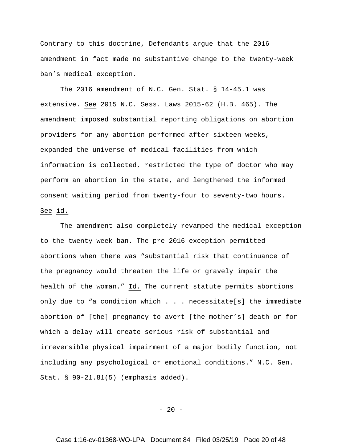Contrary to this doctrine, Defendants argue that the 2016 amendment in fact made no substantive change to the twenty-week ban's medical exception.

The 2016 amendment of N.C. Gen. Stat. § 14-45.1 was extensive. See 2015 N.C. Sess. Laws 2015-62 (H.B. 465). The amendment imposed substantial reporting obligations on abortion providers for any abortion performed after sixteen weeks, expanded the universe of medical facilities from which information is collected, restricted the type of doctor who may perform an abortion in the state, and lengthened the informed consent waiting period from twenty-four to seventy-two hours. See id.

The amendment also completely revamped the medical exception to the twenty-week ban. The pre-2016 exception permitted abortions when there was "substantial risk that continuance of the pregnancy would threaten the life or gravely impair the health of the woman." Id. The current statute permits abortions only due to "a condition which . . . necessitate[s] the immediate abortion of [the] pregnancy to avert [the mother's] death or for which a delay will create serious risk of substantial and irreversible physical impairment of a major bodily function, not including any psychological or emotional conditions." N.C. Gen. Stat. § 90-21.81(5) (emphasis added).

 $- 20 -$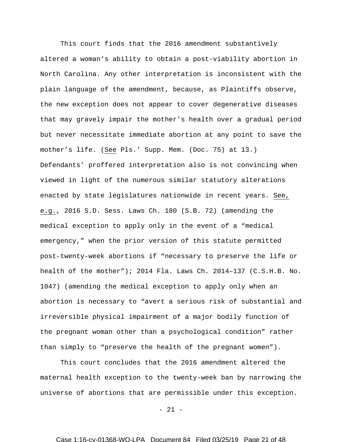This court finds that the 2016 amendment substantively altered a woman's ability to obtain a post-viability abortion in North Carolina. Any other interpretation is inconsistent with the plain language of the amendment, because, as Plaintiffs observe, the new exception does not appear to cover degenerative diseases that may gravely impair the mother's health over a gradual period but never necessitate immediate abortion at any point to save the mother's life. (See Pls.' Supp. Mem. (Doc. 75) at 13.) Defendants' proffered interpretation also is not convincing when viewed in light of the numerous similar statutory alterations enacted by state legislatures nationwide in recent years. See, e.g., 2016 S.D. Sess. Laws Ch. 180 (S.B. 72) (amending the medical exception to apply only in the event of a "medical emergency," when the prior version of this statute permitted post-twenty-week abortions if "necessary to preserve the life or health of the mother"); 2014 Fla. Laws Ch. 2014–137 (C.S.H.B. No. 1047) (amending the medical exception to apply only when an abortion is necessary to "avert a serious risk of substantial and irreversible physical impairment of a major bodily function of the pregnant woman other than a psychological condition" rather than simply to "preserve the health of the pregnant women").

This court concludes that the 2016 amendment altered the maternal health exception to the twenty-week ban by narrowing the universe of abortions that are permissible under this exception.

 $-21 -$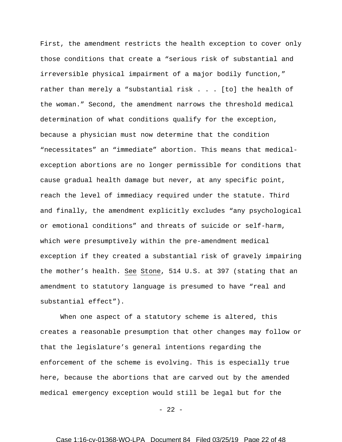First, the amendment restricts the health exception to cover only those conditions that create a "serious risk of substantial and irreversible physical impairment of a major bodily function," rather than merely a "substantial risk . . . [to] the health of the woman." Second, the amendment narrows the threshold medical determination of what conditions qualify for the exception, because a physician must now determine that the condition "necessitates" an "immediate" abortion. This means that medicalexception abortions are no longer permissible for conditions that cause gradual health damage but never, at any specific point, reach the level of immediacy required under the statute. Third and finally, the amendment explicitly excludes "any psychological or emotional conditions" and threats of suicide or self-harm, which were presumptively within the pre-amendment medical exception if they created a substantial risk of gravely impairing the mother's health. See Stone, 514 U.S. at 397 (stating that an amendment to statutory language is presumed to have "real and substantial effect").

When one aspect of a statutory scheme is altered, this creates a reasonable presumption that other changes may follow or that the legislature's general intentions regarding the enforcement of the scheme is evolving. This is especially true here, because the abortions that are carved out by the amended medical emergency exception would still be legal but for the

 $- 22 -$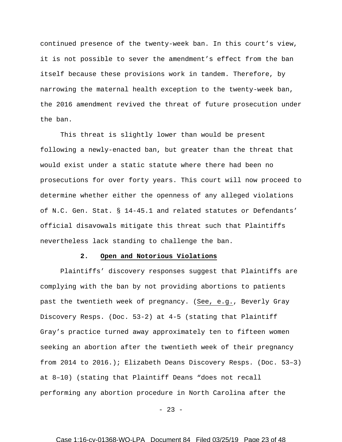continued presence of the twenty-week ban. In this court's view, it is not possible to sever the amendment's effect from the ban itself because these provisions work in tandem. Therefore, by narrowing the maternal health exception to the twenty-week ban, the 2016 amendment revived the threat of future prosecution under the ban.

This threat is slightly lower than would be present following a newly-enacted ban, but greater than the threat that would exist under a static statute where there had been no prosecutions for over forty years. This court will now proceed to determine whether either the openness of any alleged violations of N.C. Gen. Stat. § 14-45.1 and related statutes or Defendants' official disavowals mitigate this threat such that Plaintiffs nevertheless lack standing to challenge the ban.

#### **2. Open and Notorious Violations**

Plaintiffs' discovery responses suggest that Plaintiffs are complying with the ban by not providing abortions to patients past the twentieth week of pregnancy. (See, e.g., Beverly Gray Discovery Resps. (Doc. 53-2) at 4-5 (stating that Plaintiff Gray's practice turned away approximately ten to fifteen women seeking an abortion after the twentieth week of their pregnancy from 2014 to 2016.); Elizabeth Deans Discovery Resps. (Doc. 53–3) at 8–10) (stating that Plaintiff Deans "does not recall performing any abortion procedure in North Carolina after the

 $-23 -$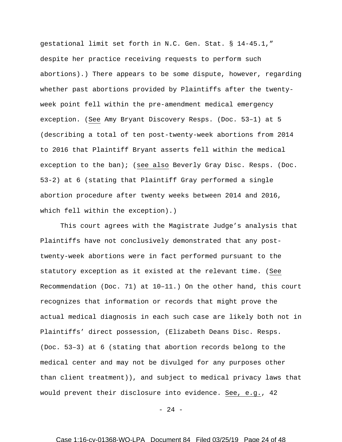gestational limit set forth in N.C. Gen. Stat. § 14-45.1," despite her practice receiving requests to perform such abortions).) There appears to be some dispute, however, regarding whether past abortions provided by Plaintiffs after the twentyweek point fell within the pre-amendment medical emergency exception. (See Amy Bryant Discovery Resps. (Doc. 53–1) at 5 (describing a total of ten post-twenty-week abortions from 2014 to 2016 that Plaintiff Bryant asserts fell within the medical exception to the ban); (see also Beverly Gray Disc. Resps. (Doc. 53-2) at 6 (stating that Plaintiff Gray performed a single abortion procedure after twenty weeks between 2014 and 2016, which fell within the exception).)

This court agrees with the Magistrate Judge's analysis that Plaintiffs have not conclusively demonstrated that any posttwenty-week abortions were in fact performed pursuant to the statutory exception as it existed at the relevant time. (See Recommendation (Doc. 71) at 10–11.) On the other hand, this court recognizes that information or records that might prove the actual medical diagnosis in each such case are likely both not in Plaintiffs' direct possession, (Elizabeth Deans Disc. Resps. (Doc. 53–3) at 6 (stating that abortion records belong to the medical center and may not be divulged for any purposes other than client treatment)), and subject to medical privacy laws that would prevent their disclosure into evidence. See, e.g., 42

 $- 24 -$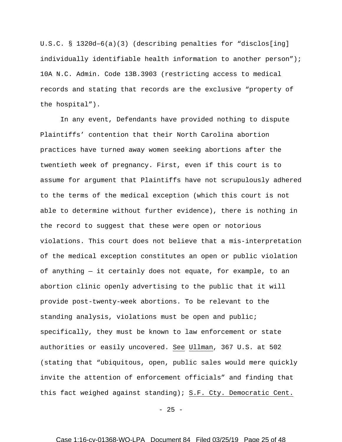U.S.C. § 1320d–6(a)(3) (describing penalties for "disclos[ing] individually identifiable health information to another person"); 10A N.C. Admin. Code 13B.3903 (restricting access to medical records and stating that records are the exclusive "property of the hospital").

In any event, Defendants have provided nothing to dispute Plaintiffs' contention that their North Carolina abortion practices have turned away women seeking abortions after the twentieth week of pregnancy. First, even if this court is to assume for argument that Plaintiffs have not scrupulously adhered to the terms of the medical exception (which this court is not able to determine without further evidence), there is nothing in the record to suggest that these were open or notorious violations. This court does not believe that a mis-interpretation of the medical exception constitutes an open or public violation of anything — it certainly does not equate, for example, to an abortion clinic openly advertising to the public that it will provide post-twenty-week abortions. To be relevant to the standing analysis, violations must be open and public; specifically, they must be known to law enforcement or state authorities or easily uncovered. See Ullman, 367 U.S. at 502 (stating that "ubiquitous, open, public sales would mere quickly invite the attention of enforcement officials" and finding that this fact weighed against standing); S.F. Cty. Democratic Cent.

 $- 25 -$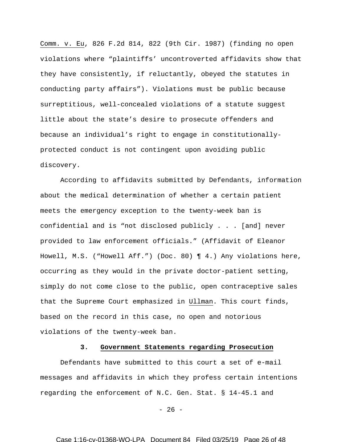Comm. v. Eu, 826 F.2d 814, 822 (9th Cir. 1987) (finding no open violations where "plaintiffs' uncontroverted affidavits show that they have consistently, if reluctantly, obeyed the statutes in conducting party affairs"). Violations must be public because surreptitious, well-concealed violations of a statute suggest little about the state's desire to prosecute offenders and because an individual's right to engage in constitutionallyprotected conduct is not contingent upon avoiding public discovery.

According to affidavits submitted by Defendants, information about the medical determination of whether a certain patient meets the emergency exception to the twenty-week ban is confidential and is "not disclosed publicly . . . [and] never provided to law enforcement officials." (Affidavit of Eleanor Howell, M.S. ("Howell Aff.") (Doc. 80) ¶ 4.) Any violations here, occurring as they would in the private doctor-patient setting, simply do not come close to the public, open contraceptive sales that the Supreme Court emphasized in Ullman. This court finds, based on the record in this case, no open and notorious violations of the twenty-week ban.

## **3. Government Statements regarding Prosecution**

Defendants have submitted to this court a set of e-mail messages and affidavits in which they profess certain intentions regarding the enforcement of N.C. Gen. Stat. § 14-45.1 and

 $- 26 -$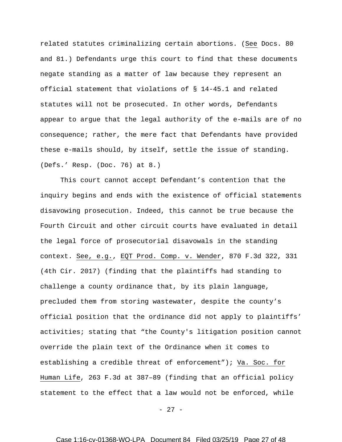related statutes criminalizing certain abortions. (See Docs. 80 and 81.) Defendants urge this court to find that these documents negate standing as a matter of law because they represent an official statement that violations of § 14-45.1 and related statutes will not be prosecuted. In other words, Defendants appear to argue that the legal authority of the e-mails are of no consequence; rather, the mere fact that Defendants have provided these e-mails should, by itself, settle the issue of standing. (Defs.' Resp. (Doc. 76) at 8.)

This court cannot accept Defendant's contention that the inquiry begins and ends with the existence of official statements disavowing prosecution. Indeed, this cannot be true because the Fourth Circuit and other circuit courts have evaluated in detail the legal force of prosecutorial disavowals in the standing context. See, e.g., EQT Prod. Comp. v. Wender, 870 F.3d 322, 331 (4th Cir. 2017) (finding that the plaintiffs had standing to challenge a county ordinance that, by its plain language, precluded them from storing wastewater, despite the county's official position that the ordinance did not apply to plaintiffs' activities; stating that "the County's litigation position cannot override the plain text of the Ordinance when it comes to establishing a credible threat of enforcement"); Va. Soc. for Human Life, 263 F.3d at 387–89 (finding that an official policy statement to the effect that a law would not be enforced, while

 $- 27 -$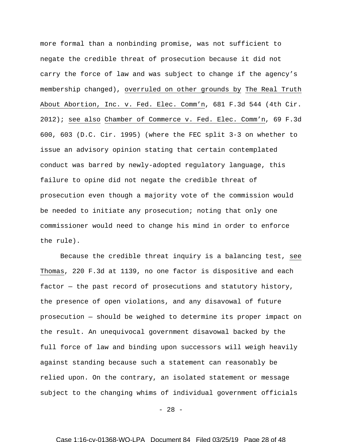more formal than a nonbinding promise, was not sufficient to negate the credible threat of prosecution because it did not carry the force of law and was subject to change if the agency's membership changed), overruled on other grounds by The Real Truth About Abortion, Inc. v. Fed. Elec. Comm'n, 681 F.3d 544 (4th Cir. 2012); see also Chamber of Commerce v. Fed. Elec. Comm'n, 69 F.3d 600, 603 (D.C. Cir. 1995) (where the FEC split 3-3 on whether to issue an advisory opinion stating that certain contemplated conduct was barred by newly-adopted regulatory language, this failure to opine did not negate the credible threat of prosecution even though a majority vote of the commission would be needed to initiate any prosecution; noting that only one commissioner would need to change his mind in order to enforce the rule).

Because the credible threat inquiry is a balancing test, see Thomas, 220 F.3d at 1139, no one factor is dispositive and each factor — the past record of prosecutions and statutory history, the presence of open violations, and any disavowal of future prosecution — should be weighed to determine its proper impact on the result. An unequivocal government disavowal backed by the full force of law and binding upon successors will weigh heavily against standing because such a statement can reasonably be relied upon. On the contrary, an isolated statement or message subject to the changing whims of individual government officials

 $- 28 -$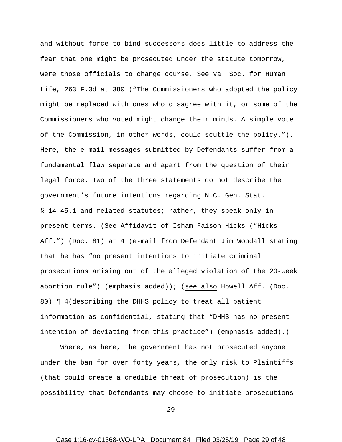and without force to bind successors does little to address the fear that one might be prosecuted under the statute tomorrow, were those officials to change course. See Va. Soc. for Human Life, 263 F.3d at 380 ("The Commissioners who adopted the policy might be replaced with ones who disagree with it, or some of the Commissioners who voted might change their minds. A simple vote of the Commission, in other words, could scuttle the policy."). Here, the e-mail messages submitted by Defendants suffer from a fundamental flaw separate and apart from the question of their legal force. Two of the three statements do not describe the government's future intentions regarding N.C. Gen. Stat. § 14-45.1 and related statutes; rather, they speak only in present terms. (See Affidavit of Isham Faison Hicks ("Hicks Aff.") (Doc. 81) at 4 (e-mail from Defendant Jim Woodall stating that he has "no present intentions to initiate criminal prosecutions arising out of the alleged violation of the 20-week abortion rule") (emphasis added)); (see also Howell Aff. (Doc. 80) ¶ 4(describing the DHHS policy to treat all patient information as confidential, stating that "DHHS has no present intention of deviating from this practice") (emphasis added).)

Where, as here, the government has not prosecuted anyone under the ban for over forty years, the only risk to Plaintiffs (that could create a credible threat of prosecution) is the possibility that Defendants may choose to initiate prosecutions

 $- 29 -$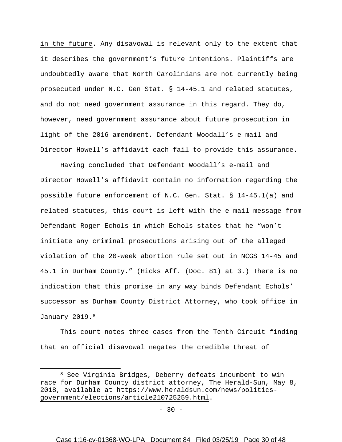in the future. Any disavowal is relevant only to the extent that it describes the government's future intentions. Plaintiffs are undoubtedly aware that North Carolinians are not currently being prosecuted under N.C. Gen Stat. § 14-45.1 and related statutes, and do not need government assurance in this regard. They do, however, need government assurance about future prosecution in light of the 2016 amendment. Defendant Woodall's e-mail and Director Howell's affidavit each fail to provide this assurance.

Having concluded that Defendant Woodall's e-mail and Director Howell's affidavit contain no information regarding the possible future enforcement of N.C. Gen. Stat. § 14-45.1(a) and related statutes, this court is left with the e-mail message from Defendant Roger Echols in which Echols states that he "won't initiate any criminal prosecutions arising out of the alleged violation of the 20-week abortion rule set out in NCGS 14-45 and 45.1 in Durham County." (Hicks Aff. (Doc. 81) at 3.) There is no indication that this promise in any way binds Defendant Echols' successor as Durham County District Attorney, who took office in January 2019.<sup>[8](#page-29-0)</sup>

This court notes three cases from the Tenth Circuit finding that an official disavowal negates the credible threat of

 $\overline{a}$ 

<span id="page-29-0"></span><sup>8</sup> See Virginia Bridges, Deberry defeats incumbent to win race for Durham County district attorney, The Herald-Sun, May 8, 2018, available at [https://www.heraldsun.com/news/politics](https://www.heraldsun.com/news/politics-government/elections/article210725259.html)[government/elections/article210725259.html.](https://www.heraldsun.com/news/politics-government/elections/article210725259.html)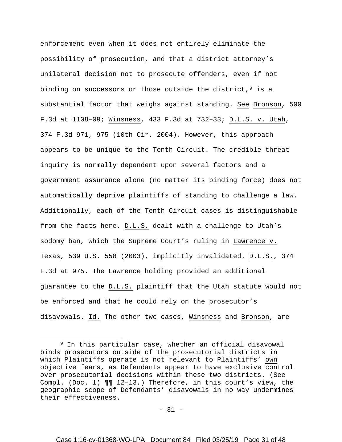enforcement even when it does not entirely eliminate the possibility of prosecution, and that a district attorney's unilateral decision not to prosecute offenders, even if not binding on successors or those outside the district,  $9$  is a substantial factor that weighs against standing. See Bronson, 500 F.3d at 1108–09; Winsness, 433 F.3d at 732–33; D.L.S. v. Utah, 374 F.3d 971, 975 (10th Cir. 2004). However, this approach appears to be unique to the Tenth Circuit. The credible threat inquiry is normally dependent upon several factors and a government assurance alone (no matter its binding force) does not automatically deprive plaintiffs of standing to challenge a law. Additionally, each of the Tenth Circuit cases is distinguishable from the facts here. D.L.S. dealt with a challenge to Utah's sodomy ban, which the Supreme Court's ruling in Lawrence v. Texas, 539 U.S. 558 (2003), implicitly invalidated. D.L.S., 374 F.3d at 975. The Lawrence holding provided an additional guarantee to the D.L.S. plaintiff that the Utah statute would not be enforced and that he could rely on the prosecutor's disavowals. Id. The other two cases, Winsness and Bronson, are

 $\overline{a}$ 

 $- 31 -$ 

<span id="page-30-0"></span><sup>9</sup> In this particular case, whether an official disavowal binds prosecutors outside of the prosecutorial districts in which Plaintiffs operate is not relevant to Plaintiffs' own objective fears, as Defendants appear to have exclusive control over prosecutorial decisions within these two districts. (See Compl. (Doc. 1) ¶¶ 12–13.) Therefore, in this court's view, the geographic scope of Defendants' disavowals in no way undermines their effectiveness.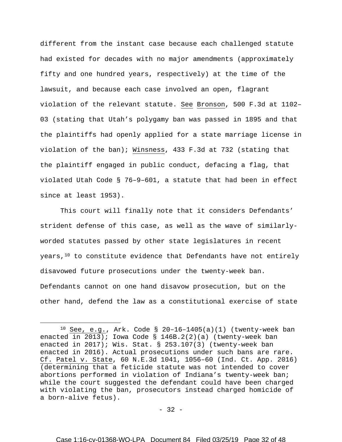different from the instant case because each challenged statute had existed for decades with no major amendments (approximately fifty and one hundred years, respectively) at the time of the lawsuit, and because each case involved an open, flagrant violation of the relevant statute. See Bronson, 500 F.3d at 1102– 03 (stating that Utah's polygamy ban was passed in 1895 and that the plaintiffs had openly applied for a state marriage license in violation of the ban); Winsness, 433 F.3d at 732 (stating that the plaintiff engaged in public conduct, defacing a flag, that violated Utah Code § 76–9–601, a statute that had been in effect since at least 1953).

This court will finally note that it considers Defendants' strident defense of this case, as well as the wave of similarlyworded statutes passed by other state legislatures in recent years, $10$  to constitute evidence that Defendants have not entirely disavowed future prosecutions under the twenty-week ban. Defendants cannot on one hand disavow prosecution, but on the other hand, defend the law as a constitutional exercise of state

 $\overline{a}$ 

<span id="page-31-0"></span><sup>10</sup> See, e.g., Ark. Code § 20–16–1405(a)(1) (twenty-week ban enacted in 2013); Iowa Code § 146B.2(2)(a) (twenty-week ban enacted in 2017); Wis. Stat. § 253.107(3) (twenty-week ban enacted in 2016). Actual prosecutions under such bans are rare. Cf. Patel v. State, 60 N.E.3d 1041, 1056–60 (Ind. Ct. App. 2016) (determining that a feticide statute was not intended to cover abortions performed in violation of Indiana's twenty-week ban; while the court suggested the defendant could have been charged with violating the ban, prosecutors instead charged homicide of a born-alive fetus).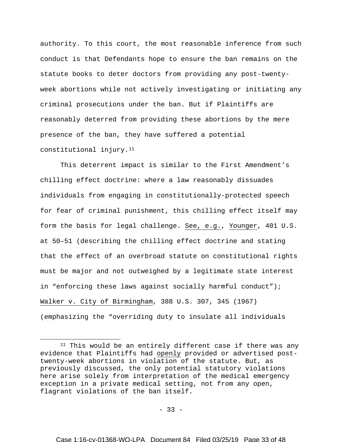authority. To this court, the most reasonable inference from such conduct is that Defendants hope to ensure the ban remains on the statute books to deter doctors from providing any post-twentyweek abortions while not actively investigating or initiating any criminal prosecutions under the ban. But if Plaintiffs are reasonably deterred from providing these abortions by the mere presence of the ban, they have suffered a potential constitutional injury.[11](#page-32-0)

This deterrent impact is similar to the First Amendment's chilling effect doctrine: where a law reasonably dissuades individuals from engaging in constitutionally-protected speech for fear of criminal punishment, this chilling effect itself may form the basis for legal challenge. See, e.g., Younger, 401 U.S. at 50–51 (describing the chilling effect doctrine and stating that the effect of an overbroad statute on constitutional rights must be major and not outweighed by a legitimate state interest in "enforcing these laws against socially harmful conduct"); Walker v. City of Birmingham, 388 U.S. 307, 345 (1967) (emphasizing the "overriding duty to insulate all individuals

 $\overline{a}$ 

 $-33 -$ 

<span id="page-32-0"></span> $11$  This would be an entirely different case if there was any evidence that Plaintiffs had openly provided or advertised posttwenty-week abortions in violation of the statute. But, as previously discussed, the only potential statutory violations here arise solely from interpretation of the medical emergency exception in a private medical setting, not from any open, flagrant violations of the ban itself.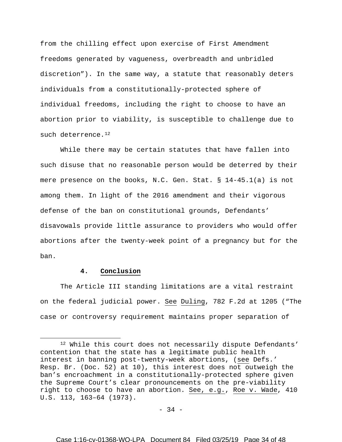from the chilling effect upon exercise of First Amendment freedoms generated by vagueness, overbreadth and unbridled discretion"). In the same way, a statute that reasonably deters individuals from a constitutionally-protected sphere of individual freedoms, including the right to choose to have an abortion prior to viability, is susceptible to challenge due to such deterrence.<sup>[12](#page-33-0)</sup>

While there may be certain statutes that have fallen into such disuse that no reasonable person would be deterred by their mere presence on the books, N.C. Gen. Stat. § 14-45.1(a) is not among them. In light of the 2016 amendment and their vigorous defense of the ban on constitutional grounds, Defendants' disavowals provide little assurance to providers who would offer abortions after the twenty-week point of a pregnancy but for the ban.

## **4. Conclusion**

 $\overline{a}$ 

The Article III standing limitations are a vital restraint on the federal judicial power. See Duling, 782 F.2d at 1205 ("The case or controversy requirement maintains proper separation of

- 34 -

<span id="page-33-0"></span><sup>&</sup>lt;sup>12</sup> While this court does not necessarily dispute Defendants' contention that the state has a legitimate public health interest in banning post-twenty-week abortions, (see Defs.' Resp. Br. (Doc. 52) at 10), this interest does not outweigh the ban's encroachment in a constitutionally-protected sphere given the Supreme Court's clear pronouncements on the pre-viability right to choose to have an abortion. See, e.g., Roe v. Wade, 410 U.S. 113, 163–64 (1973).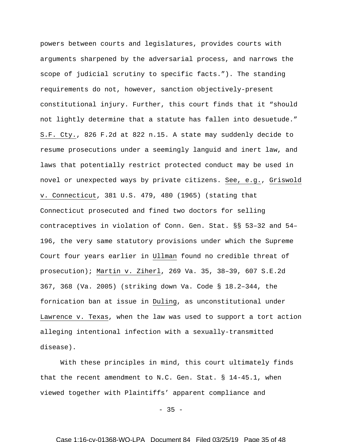powers between courts and legislatures, provides courts with arguments sharpened by the adversarial process, and narrows the scope of judicial scrutiny to specific facts."). The standing requirements do not, however, sanction objectively-present constitutional injury. Further, this court finds that it "should not lightly determine that a statute has fallen into desuetude." S.F. Cty., 826 F.2d at 822 n.15. A state may suddenly decide to resume prosecutions under a seemingly languid and inert law, and laws that potentially restrict protected conduct may be used in novel or unexpected ways by private citizens. See, e.g., Griswold v. Connecticut, 381 U.S. 479, 480 (1965) (stating that Connecticut prosecuted and fined two doctors for selling contraceptives in violation of Conn. Gen. Stat. §§ 53–32 and 54– 196, the very same statutory provisions under which the Supreme Court four years earlier in Ullman found no credible threat of prosecution); Martin v. Ziherl, 269 Va. 35, 38–39, 607 S.E.2d 367, 368 (Va. 2005) (striking down Va. Code § 18.2–344, the fornication ban at issue in Duling, as unconstitutional under Lawrence v. Texas, when the law was used to support a tort action alleging intentional infection with a sexually-transmitted disease).

With these principles in mind, this court ultimately finds that the recent amendment to N.C. Gen. Stat. § 14-45.1, when viewed together with Plaintiffs' apparent compliance and

 $-35 -$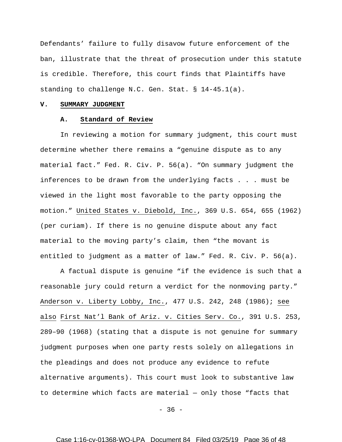Defendants' failure to fully disavow future enforcement of the ban, illustrate that the threat of prosecution under this statute is credible. Therefore, this court finds that Plaintiffs have standing to challenge N.C. Gen. Stat. § 14-45.1(a).

#### **V. SUMMARY JUDGMENT**

# **A. Standard of Review**

In reviewing a motion for summary judgment, this court must determine whether there remains a "genuine dispute as to any material fact." Fed. R. Civ. P. 56(a). "On summary judgment the inferences to be drawn from the underlying facts . . . must be viewed in the light most favorable to the party opposing the motion." United States v. Diebold, Inc., 369 U.S. 654, 655 (1962) (per curiam). If there is no genuine dispute about any fact material to the moving party's claim, then "the movant is entitled to judgment as a matter of law." Fed. R. Civ. P. 56(a).

A factual dispute is genuine "if the evidence is such that a reasonable jury could return a verdict for the nonmoving party." Anderson v. Liberty Lobby, Inc., 477 U.S. 242, 248 (1986); see also First Nat'l Bank of Ariz. v. Cities Serv. Co., 391 U.S. 253, 289–90 (1968) (stating that a dispute is not genuine for summary judgment purposes when one party rests solely on allegations in the pleadings and does not produce any evidence to refute alternative arguments). This court must look to substantive law to determine which facts are material — only those "facts that

 $-36 -$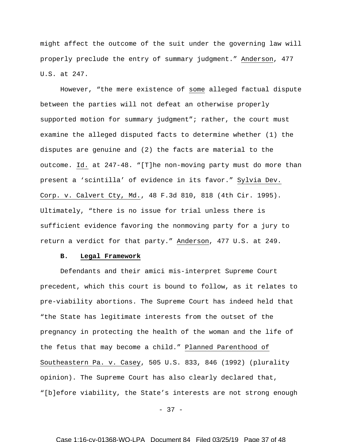might affect the outcome of the suit under the governing law will properly preclude the entry of summary judgment." Anderson, 477 U.S. at 247.

However, "the mere existence of some alleged factual dispute between the parties will not defeat an otherwise properly supported motion for summary judgment"; rather, the court must examine the alleged disputed facts to determine whether (1) the disputes are genuine and (2) the facts are material to the outcome. Id. at 247-48. "[T]he non-moving party must do more than present a 'scintilla' of evidence in its favor." Sylvia Dev. Corp. v. Calvert Cty, Md., 48 F.3d 810, 818 (4th Cir. 1995). Ultimately, "there is no issue for trial unless there is sufficient evidence favoring the nonmoving party for a jury to return a verdict for that party." Anderson, 477 U.S. at 249.

#### **B. Legal Framework**

Defendants and their amici mis-interpret Supreme Court precedent, which this court is bound to follow, as it relates to pre-viability abortions. The Supreme Court has indeed held that "the State has legitimate interests from the outset of the pregnancy in protecting the health of the woman and the life of the fetus that may become a child." Planned Parenthood of Southeastern Pa. v. Casey, 505 U.S. 833, 846 (1992) (plurality opinion). The Supreme Court has also clearly declared that, "[b]efore viability, the State's interests are not strong enough

- 37 -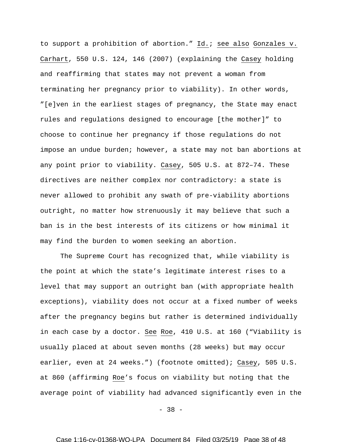to support a prohibition of abortion." Id.; see also Gonzales v. Carhart, 550 U.S. 124, 146 (2007) (explaining the Casey holding and reaffirming that states may not prevent a woman from terminating her pregnancy prior to viability). In other words, "[e]ven in the earliest stages of pregnancy, the State may enact rules and regulations designed to encourage [the mother]" to choose to continue her pregnancy if those regulations do not impose an undue burden; however, a state may not ban abortions at any point prior to viability. Casey, 505 U.S. at 872–74. These directives are neither complex nor contradictory: a state is never allowed to prohibit any swath of pre-viability abortions outright, no matter how strenuously it may believe that such a ban is in the best interests of its citizens or how minimal it may find the burden to women seeking an abortion.

The Supreme Court has recognized that, while viability is the point at which the state's legitimate interest rises to a level that may support an outright ban (with appropriate health exceptions), viability does not occur at a fixed number of weeks after the pregnancy begins but rather is determined individually in each case by a doctor. See Roe, 410 U.S. at 160 ("Viability is usually placed at about seven months (28 weeks) but may occur earlier, even at 24 weeks.") (footnote omitted); Casey, 505 U.S. at 860 (affirming Roe's focus on viability but noting that the average point of viability had advanced significantly even in the

 $-38 -$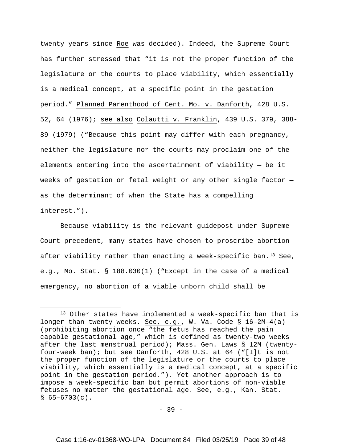twenty years since Roe was decided). Indeed, the Supreme Court has further stressed that "it is not the proper function of the legislature or the courts to place viability, which essentially is a medical concept, at a specific point in the gestation period." Planned Parenthood of Cent. Mo. v. Danforth, 428 U.S. 52, 64 (1976); see also Colautti v. Franklin, 439 U.S. 379, 388- 89 (1979) ("Because this point may differ with each pregnancy, neither the legislature nor the courts may proclaim one of the elements entering into the ascertainment of viability — be it weeks of gestation or fetal weight or any other single factor as the determinant of when the State has a compelling interest.").

Because viability is the relevant guidepost under Supreme Court precedent, many states have chosen to proscribe abortion after viability rather than enacting a week-specific ban.[13](#page-38-0) See, e.g., Mo. Stat. § 188.030(1) ("Except in the case of a medical emergency, no abortion of a viable unborn child shall be

 $\overline{a}$ 

- 39 -

<span id="page-38-0"></span><sup>13</sup> Other states have implemented a week-specific ban that is longer than twenty weeks. See, e.g., W. Va. Code § 16–2M–4(a) (prohibiting abortion once "the fetus has reached the pain capable gestational age," which is defined as twenty-two weeks after the last menstrual period); Mass. Gen. Laws § 12M (twentyfour-week ban); but see Danforth, 428 U.S. at 64 ("[I]t is not the proper function of the legislature or the courts to place viability, which essentially is a medical concept, at a specific point in the gestation period."). Yet another approach is to impose a week-specific ban but permit abortions of non-viable fetuses no matter the gestational age. See, e.g., Kan. Stat.  $$65-6703(c)$ .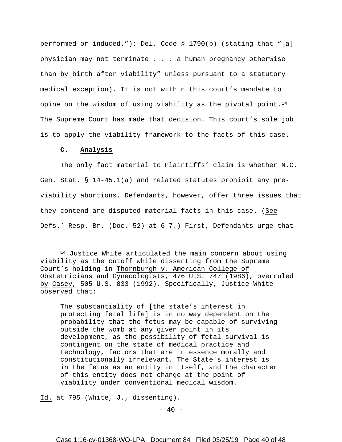performed or induced."); Del. Code § 1790(b) (stating that "[a] physician may not terminate . . . a human pregnancy otherwise than by birth after viability" unless pursuant to a statutory medical exception). It is not within this court's mandate to opine on the wisdom of using viability as the pivotal point.<sup>14</sup> The Supreme Court has made that decision. This court's sole job is to apply the viability framework to the facts of this case.

# **C. Analysis**

 $\overline{a}$ 

The only fact material to Plaintiffs' claim is whether N.C. Gen. Stat. § 14-45.1(a) and related statutes prohibit any previability abortions. Defendants, however, offer three issues that they contend are disputed material facts in this case. (See Defs.' Resp. Br. (Doc. 52) at 6–7.) First, Defendants urge that

The substantiality of [the state's interest in protecting fetal life] is in no way dependent on the probability that the fetus may be capable of surviving outside the womb at any given point in its development, as the possibility of fetal survival is contingent on the state of medical practice and technology, factors that are in essence morally and constitutionally irrelevant. The State's interest is in the fetus as an entity in itself, and the character of this entity does not change at the point of viability under conventional medical wisdom.

Id. at 795 (White, J., dissenting).

<span id="page-39-0"></span><sup>14</sup> Justice White articulated the main concern about using viability as the cutoff while dissenting from the Supreme Court's holding in Thornburgh v. American College of Obstetricians and Gynecologists, 476 U.S. 747 (1986), overruled by Casey, 505 U.S. 833 (1992). Specifically, Justice White observed that: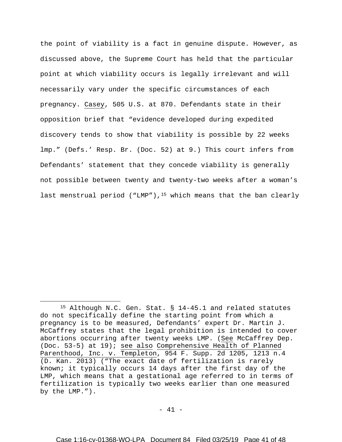the point of viability is a fact in genuine dispute. However, as discussed above, the Supreme Court has held that the particular point at which viability occurs is legally irrelevant and will necessarily vary under the specific circumstances of each pregnancy. Casey, 505 U.S. at 870. Defendants state in their opposition brief that "evidence developed during expedited discovery tends to show that viability is possible by 22 weeks lmp." (Defs.' Resp. Br. (Doc. 52) at 9.) This court infers from Defendants' statement that they concede viability is generally not possible between twenty and twenty-two weeks after a woman's last menstrual period ("LMP"),<sup>15</sup> which means that the ban clearly

 $\overline{a}$ 

<span id="page-40-0"></span><sup>15</sup> Although N.C. Gen. Stat. § 14-45.1 and related statutes do not specifically define the starting point from which a pregnancy is to be measured, Defendants' expert Dr. Martin J. McCaffrey states that the legal prohibition is intended to cover abortions occurring after twenty weeks LMP. (See McCaffrey Dep. (Doc. 53-5) at 19); see also Comprehensive Health of Planned Parenthood, Inc. v. Templeton, 954 F. Supp. 2d 1205, 1213 n.4 (D. Kan. 2013) ("The exact date of fertilization is rarely known; it typically occurs 14 days after the first day of the LMP, which means that a gestational age referred to in terms of fertilization is typically two weeks earlier than one measured by the LMP.").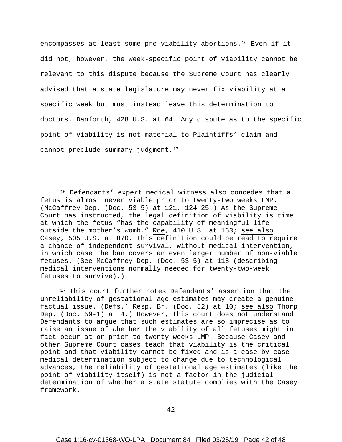encompasses at least some pre-viability abortions[.16](#page-41-0) Even if it did not, however, the week-specific point of viability cannot be relevant to this dispute because the Supreme Court has clearly advised that a state legislature may never fix viability at a specific week but must instead leave this determination to doctors. Danforth, 428 U.S. at 64. Any dispute as to the specific point of viability is not material to Plaintiffs' claim and cannot preclude summary judgment.<sup>17</sup>

 $\overline{a}$ 

<span id="page-41-1"></span><sup>17</sup> This court further notes Defendants' assertion that the unreliability of gestational age estimates may create a genuine factual issue. (Defs.' Resp. Br. (Doc. 52) at 10; see also Thorp Dep. (Doc. 59-1) at 4.) However, this court does not understand Defendants to argue that such estimates are so imprecise as to raise an issue of whether the viability of all fetuses might in fact occur at or prior to twenty weeks LMP. Because Casey and other Supreme Court cases teach that viability is the critical point and that viability cannot be fixed and is a case-by-case medical determination subject to change due to technological advances, the reliability of gestational age estimates (like the point of viability itself) is not a factor in the judicial determination of whether a state statute complies with the Casey framework.

 $- 42 -$ 

<span id="page-41-0"></span><sup>16</sup> Defendants' expert medical witness also concedes that a fetus is almost never viable prior to twenty-two weeks LMP. (McCaffrey Dep. (Doc. 53-5) at 121, 124–25.) As the Supreme Court has instructed, the legal definition of viability is time at which the fetus "has the capability of meaningful life outside the mother's womb." Roe, 410 U.S. at 163; see also Casey, 505 U.S. at 870. This definition could be read to require a chance of independent survival, without medical intervention, in which case the ban covers an even larger number of non-viable fetuses. (See McCaffrey Dep. (Doc. 53–5) at 118 (describing medical interventions normally needed for twenty-two-week fetuses to survive).)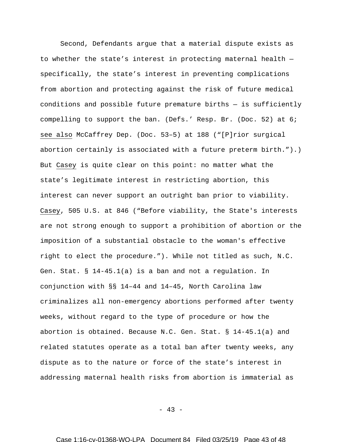Second, Defendants argue that a material dispute exists as to whether the state's interest in protecting maternal health specifically, the state's interest in preventing complications from abortion and protecting against the risk of future medical conditions and possible future premature births — is sufficiently compelling to support the ban. (Defs.' Resp. Br. (Doc. 52) at 6; see also McCaffrey Dep. (Doc. 53–5) at 188 ("[P]rior surgical abortion certainly is associated with a future preterm birth.").) But Casey is quite clear on this point: no matter what the state's legitimate interest in restricting abortion, this interest can never support an outright ban prior to viability. Casey, 505 U.S. at 846 ("Before viability, the State's interests are not strong enough to support a prohibition of abortion or the imposition of a substantial obstacle to the woman's effective right to elect the procedure."). While not titled as such, N.C. Gen. Stat. § 14-45.1(a) is a ban and not a regulation. In conjunction with §§ 14–44 and 14–45, North Carolina law criminalizes all non-emergency abortions performed after twenty weeks, without regard to the type of procedure or how the abortion is obtained. Because N.C. Gen. Stat. § 14-45.1(a) and related statutes operate as a total ban after twenty weeks, any dispute as to the nature or force of the state's interest in addressing maternal health risks from abortion is immaterial as

- 43 -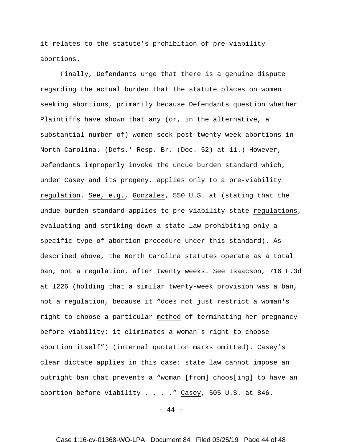it relates to the statute's prohibition of pre-viability abortions.

Finally, Defendants urge that there is a genuine dispute regarding the actual burden that the statute places on women seeking abortions, primarily because Defendants question whether Plaintiffs have shown that any (or, in the alternative, a substantial number of) women seek post-twenty-week abortions in North Carolina. (Defs.' Resp. Br. (Doc. 52) at 11.) However, Defendants improperly invoke the undue burden standard which, under Casey and its progeny, applies only to a pre-viability regulation. See, e.g., Gonzales, 550 U.S. at (stating that the undue burden standard applies to pre-viability state regulations, evaluating and striking down a state law prohibiting only a specific type of abortion procedure under this standard). As described above, the North Carolina statutes operate as a total ban, not a regulation, after twenty weeks. See Isaacson, 716 F.3d at 1226 (holding that a similar twenty-week provision was a ban, not a regulation, because it "does not just restrict a woman's right to choose a particular method of terminating her pregnancy before viability; it eliminates a woman's right to choose abortion itself") (internal quotation marks omitted). Casey's clear dictate applies in this case: state law cannot impose an outright ban that prevents a "woman [from] choos[ing] to have an abortion before viability . . . . " Casey, 505 U.S. at 846.

 $- 44 -$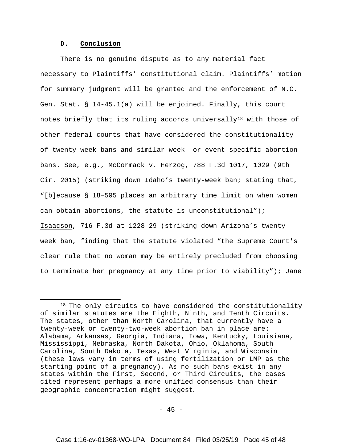# **D. Conclusion**

 $\overline{a}$ 

There is no genuine dispute as to any material fact necessary to Plaintiffs' constitutional claim. Plaintiffs' motion for summary judgment will be granted and the enforcement of N.C. Gen. Stat. § 14-45.1(a) will be enjoined. Finally, this court notes briefly that its ruling accords universally<sup>[18](#page-44-0)</sup> with those of other federal courts that have considered the constitutionality of twenty-week bans and similar week- or event-specific abortion bans. See, e.g., McCormack v. Herzog, 788 F.3d 1017, 1029 (9th Cir. 2015) (striking down Idaho's twenty-week ban; stating that, "[b]ecause § 18–505 places an arbitrary time limit on when women can obtain abortions, the statute is unconstitutional"); Isaacson, 716 F.3d at 1228-29 (striking down Arizona's twentyweek ban, finding that the statute violated "the Supreme Court's clear rule that no woman may be entirely precluded from choosing to terminate her pregnancy at any time prior to viability"); Jane

<span id="page-44-0"></span><sup>&</sup>lt;sup>18</sup> The only circuits to have considered the constitutionality of similar statutes are the Eighth, Ninth, and Tenth Circuits. The states, other than North Carolina, that currently have a twenty-week or twenty-two-week abortion ban in place are: Alabama, Arkansas, Georgia, Indiana, Iowa, Kentucky, Louisiana, Mississippi, Nebraska, North Dakota, Ohio, Oklahoma, South Carolina, South Dakota, Texas, West Virginia, and Wisconsin (these laws vary in terms of using fertilization or LMP as the starting point of a pregnancy). As no such bans exist in any states within the First, Second, or Third Circuits, the cases cited represent perhaps a more unified consensus than their geographic concentration might suggest.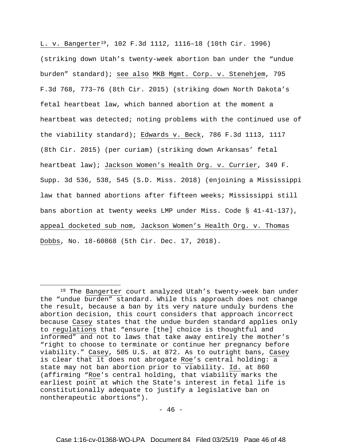L. v. Bangerter[19](#page-45-0), 102 F.3d 1112, 1116–18 (10th Cir. 1996) (striking down Utah's twenty-week abortion ban under the "undue burden" standard); see also MKB Mgmt. Corp. v. Stenehjem, 795 F.3d 768, 773–76 (8th Cir. 2015) (striking down North Dakota's fetal heartbeat law, which banned abortion at the moment a heartbeat was detected; noting problems with the continued use of the viability standard); Edwards v. Beck, 786 F.3d 1113, 1117 (8th Cir. 2015) (per curiam) (striking down Arkansas' fetal heartbeat law); Jackson Women's Health Org. v. Currier, 349 F. Supp. 3d 536, 538, 545 (S.D. Miss. 2018) (enjoining a Mississippi law that banned abortions after fifteen weeks; Mississippi still bans abortion at twenty weeks LMP under Miss. Code § 41-41-137), appeal docketed sub nom, Jackson Women's Health Org. v. Thomas Dobbs, No. 18-60868 (5th Cir. Dec. 17, 2018).

 $\overline{a}$ 

<span id="page-45-0"></span><sup>&</sup>lt;sup>19</sup> The Bangerter court analyzed Utah's twenty-week ban under the "undue burden" standard. While this approach does not change the result, because a ban by its very nature unduly burdens the abortion decision, this court considers that approach incorrect because Casey states that the undue burden standard applies only to regulations that "ensure [the] choice is thoughtful and informed" and not to laws that take away entirely the mother's "right to choose to terminate or continue her pregnancy before viability." Casey, 505 U.S. at 872. As to outright bans, Casey is clear that it does not abrogate Roe's central holding: a state may not ban abortion prior to viability. Id. at 860 (affirming "Roe's central holding, that viability marks the earliest point at which the State's interest in fetal life is constitutionally adequate to justify a legislative ban on nontherapeutic abortions").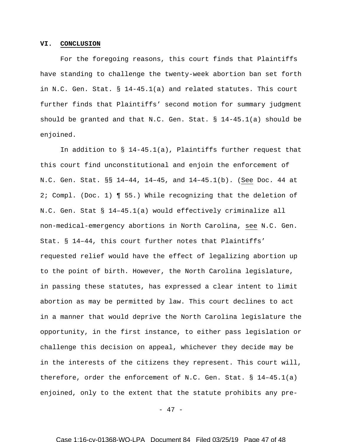## **VI. CONCLUSION**

For the foregoing reasons, this court finds that Plaintiffs have standing to challenge the twenty-week abortion ban set forth in N.C. Gen. Stat. § 14-45.1(a) and related statutes. This court further finds that Plaintiffs' second motion for summary judgment should be granted and that N.C. Gen. Stat. § 14-45.1(a) should be enjoined.

In addition to  $\S$  14-45.1(a), Plaintiffs further request that this court find unconstitutional and enjoin the enforcement of N.C. Gen. Stat. §§ 14–44, 14–45, and 14–45.1(b). (See Doc. 44 at 2; Compl. (Doc. 1) ¶ 55.) While recognizing that the deletion of N.C. Gen. Stat § 14–45.1(a) would effectively criminalize all non-medical-emergency abortions in North Carolina, see N.C. Gen. Stat. § 14–44, this court further notes that Plaintiffs' requested relief would have the effect of legalizing abortion up to the point of birth. However, the North Carolina legislature, in passing these statutes, has expressed a clear intent to limit abortion as may be permitted by law. This court declines to act in a manner that would deprive the North Carolina legislature the opportunity, in the first instance, to either pass legislation or challenge this decision on appeal, whichever they decide may be in the interests of the citizens they represent. This court will, therefore, order the enforcement of N.C. Gen. Stat. § 14–45.1(a) enjoined, only to the extent that the statute prohibits any pre-

- 47 -